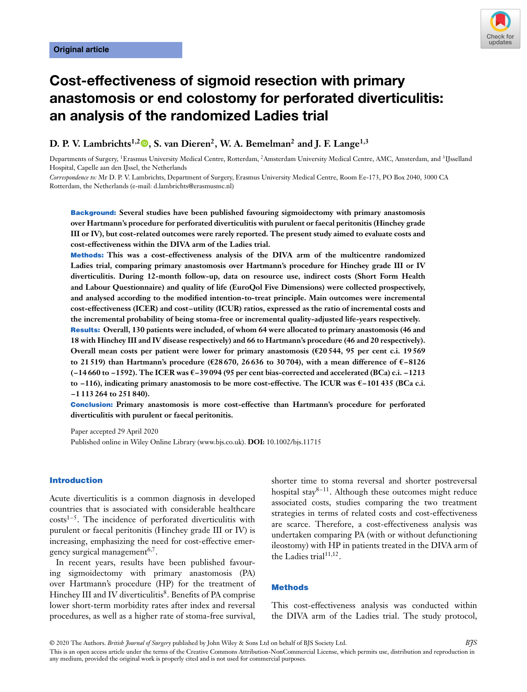

# **Cost-effectiveness of sigmoid resection with primary anastomosis or end colostomy for perforated diverticulitis: an analysis of the randomized Ladies trial**

**D. P. V. Lambrichts<sup>1[,](https://orcid.org/0000-0002-4602-3115)2</sup><sup>0</sup>, S. van Dieren<sup>2</sup>, W. A. Bemelman<sup>2</sup> and J. F. Lange<sup>1,3</sup>** 

Departments of Surgery, 1Erasmus University Medical Centre, Rotterdam, 2Amsterdam University Medical Centre, AMC, Amsterdam, and 3IJsselland Hospital, Capelle aan den IJssel, the Netherlands

*Correspondence to:* Mr D. P. V. Lambrichts, Department of Surgery, Erasmus University Medical Centre, Room Ee-173, PO Box 2040, 3000 CA Rotterdam, the Netherlands (e-mail: d.lambrichts@erasmusmc.nl)

**Background: Several studies have been published favouring sigmoidectomy with primary anastomosis over Hartmann's procedure for perforated diverticulitis with purulent or faecal peritonitis (Hinchey grade III or IV), but cost-related outcomes were rarely reported. The present study aimed to evaluate costs and cost-effectiveness within the DIVA arm of the Ladies trial.**

**Methods: This was a cost-effectiveness analysis of the DIVA arm of the multicentre randomized Ladies trial, comparing primary anastomosis over Hartmann's procedure for Hinchey grade III or IV diverticulitis. During 12-month follow-up, data on resource use, indirect costs (Short Form Health and Labour Questionnaire) and quality of life (EuroQol Five Dimensions) were collected prospectively, and analysed according to the modified intention-to-treat principle. Main outcomes were incremental cost-effectiveness (ICER) and cost–utility (ICUR) ratios, expressed as the ratio of incremental costs and the incremental probability of being stoma-free or incremental quality-adjusted life-years respectively.**

**Results: Overall, 130 patients were included, of whom 64 were allocated to primary anastomosis (46 and 18 with Hinchey III and IV disease respectively) and 66 to Hartmann's procedure (46 and 20 respectively). Overall mean costs per patient were lower for primary anastomosis (€20 544, 95 per cent c.i. 19 569 to 21 519) than Hartmann's procedure (€28 670, 26 636 to 30 704), with a mean difference of €–8126 (–14 660 to –1592). The ICER was €–39 094 (95 per cent bias-corrected and accelerated (BCa) c.i. –1213 to –116), indicating primary anastomosis to be more cost-effective. The ICUR was €–101 435 (BCa c.i. –1 113 264 to 251 840).**

**Conclusion: Primary anastomosis is more cost-effective than Hartmann's procedure for perforated diverticulitis with purulent or faecal peritonitis.**

Paper accepted 29 April 2020 Published online in Wiley Online Library (www.bjs.co.uk). **DOI:** 10.1002/bjs.11715

## **Introduction**

Acute diverticulitis is a common diagnosis in developed countries that is associated with considerable healthcare  $costs<sup>1-5</sup>$ . The incidence of perforated diverticulitis with purulent or faecal peritonitis (Hinchey grade III or IV) is increasing, emphasizing the need for cost-effective emergency surgical management<sup>6,7</sup>.

In recent years, results have been published favouring sigmoidectomy with primary anastomosis (PA) over Hartmann's procedure (HP) for the treatment of Hinchey III and IV diverticulitis<sup>8</sup>. Benefits of PA comprise lower short-term morbidity rates after index and reversal procedures, as well as a higher rate of stoma-free survival,

shorter time to stoma reversal and shorter postreversal hospital stay $8-11$ . Although these outcomes might reduce associated costs, studies comparing the two treatment strategies in terms of related costs and cost-effectiveness are scarce. Therefore, a cost-effectiveness analysis was undertaken comparing PA (with or without defunctioning ileostomy) with HP in patients treated in the DIVA arm of the Ladies trial<sup>11,12</sup>.

#### **Methods**

This cost-effectiveness analysis was conducted within the DIVA arm of the Ladies trial. The study protocol,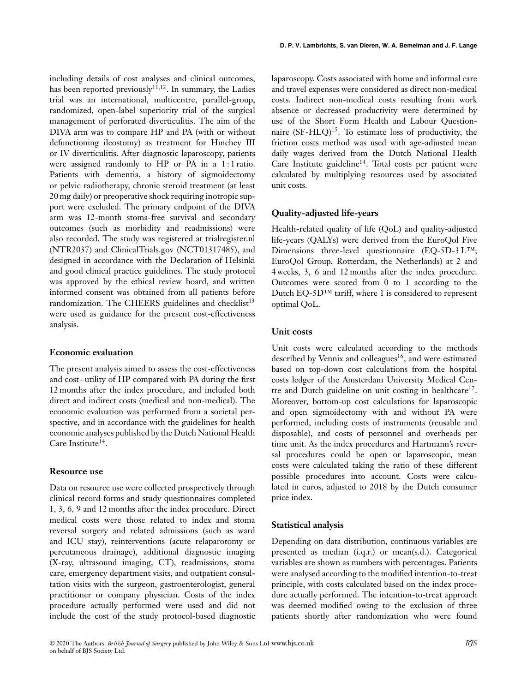including details of cost analyses and clinical outcomes, has been reported previously<sup>11,12</sup>. In summary, the Ladies trial was an international, multicentre, parallel-group, randomized, open-label superiority trial of the surgical management of perforated diverticulitis. The aim of the DIVA arm was to compare HP and PA (with or without defunctioning ileostomy) as treatment for Hinchey III or IV diverticulitis. After diagnostic laparoscopy, patients were assigned randomly to HP or PA in a 1:1 ratio. Patients with dementia, a history of sigmoidectomy or pelvic radiotherapy, chronic steroid treatment (at least 20 mg daily) or preoperative shock requiring inotropic support were excluded. The primary endpoint of the DIVA arm was 12-month stoma-free survival and secondary outcomes (such as morbidity and readmissions) were also recorded. The study was registered at trialregister.nl (NTR2037) and [ClinicalTrials.gov](http://clinicaltrials.gov) (NCT01317485), and designed in accordance with the Declaration of Helsinki and good clinical practice guidelines. The study protocol was approved by the ethical review board, and written informed consent was obtained from all patients before randomization. The CHEERS guidelines and checklist<sup>13</sup> were used as guidance for the present cost-effectiveness analysis.

#### **Economic evaluation**

The present analysis aimed to assess the cost-effectiveness and cost–utility of HP compared with PA during the first 12 months after the index procedure, and included both direct and indirect costs (medical and non-medical). The economic evaluation was performed from a societal perspective, and in accordance with the guidelines for health economic analyses published by the Dutch National Health Care Institute<sup>14</sup>.

## **Resource use**

Data on resource use were collected prospectively through clinical record forms and study questionnaires completed 1, 3, 6, 9 and 12 months after the index procedure. Direct medical costs were those related to index and stoma reversal surgery and related admissions (such as ward and ICU stay), reinterventions (acute relaparotomy or percutaneous drainage), additional diagnostic imaging (X-ray, ultrasound imaging, CT), readmissions, stoma care, emergency department visits, and outpatient consultation visits with the surgeon, gastroenterologist, general practitioner or company physician. Costs of the index procedure actually performed were used and did not include the cost of the study protocol-based diagnostic

laparoscopy. Costs associated with home and informal care and travel expenses were considered as direct non-medical costs. Indirect non-medical costs resulting from work absence or decreased productivity were determined by use of the Short Form Health and Labour Questionnaire  $(SF-HLQ)^{15}$ . To estimate loss of productivity, the friction costs method was used with age-adjusted mean daily wages derived from the Dutch National Health Care Institute guideline<sup>14</sup>. Total costs per patient were calculated by multiplying resources used by associated unit costs.

# **Quality-adjusted life-years**

Health-related quality of life (QoL) and quality-adjusted life-years (QALYs) were derived from the EuroQol Five Dimensions three-level questionnaire (EQ-5D-3 L™; EuroQol Group, Rotterdam, the Netherlands) at 2 and 4 weeks, 3, 6 and 12 months after the index procedure. Outcomes were scored from 0 to 1 according to the Dutch EQ-5D™ tariff, where 1 is considered to represent optimal QoL.

## **Unit costs**

Unit costs were calculated according to the methods described by Vennix and colleagues<sup>16</sup>, and were estimated based on top-down cost calculations from the hospital costs ledger of the Amsterdam University Medical Centre and Dutch guideline on unit costing in healthcare<sup>17</sup>. Moreover, bottom-up cost calculations for laparoscopic and open sigmoidectomy with and without PA were performed, including costs of instruments (reusable and disposable), and costs of personnel and overheads per time unit. As the index procedures and Hartmann's reversal procedures could be open or laparoscopic, mean costs were calculated taking the ratio of these different possible procedures into account. Costs were calculated in euros, adjusted to 2018 by the Dutch consumer price index.

#### **Statistical analysis**

Depending on data distribution, continuous variables are presented as median (i.q.r.) or mean(s.d.). Categorical variables are shown as numbers with percentages. Patients were analysed according to the modified intention-to-treat principle, with costs calculated based on the index procedure actually performed. The intention-to-treat approach was deemed modified owing to the exclusion of three patients shortly after randomization who were found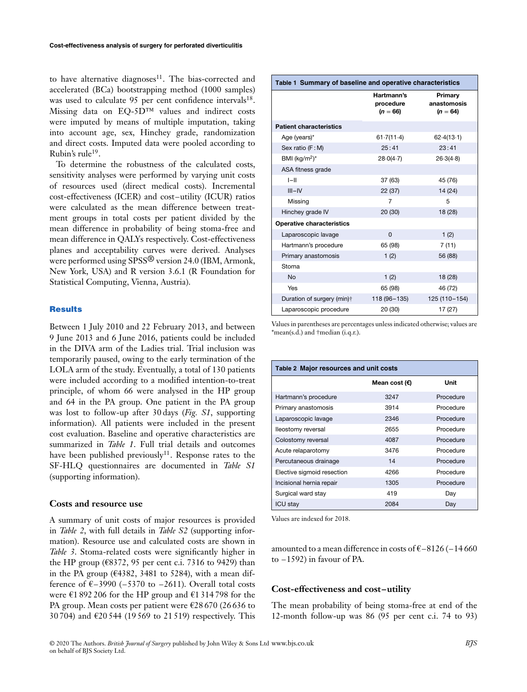to have alternative diagnoses $11$ . The bias-corrected and accelerated (BCa) bootstrapping method (1000 samples) was used to calculate 95 per cent confidence intervals<sup>18</sup>. Missing data on EQ-5D™ values and indirect costs were imputed by means of multiple imputation, taking into account age, sex, Hinchey grade, randomization and direct costs. Imputed data were pooled according to Rubin's rule19.

To determine the robustness of the calculated costs, sensitivity analyses were performed by varying unit costs of resources used (direct medical costs). Incremental cost-effectiveness (ICER) and cost–utility (ICUR) ratios were calculated as the mean difference between treatment groups in total costs per patient divided by the mean difference in probability of being stoma-free and mean difference in QALYs respectively. Cost-effectiveness planes and acceptability curves were derived. Analyses were performed using SPSS® version 24.0 (IBM, Armonk, New York, USA) and R version 3.6.1 (R Foundation for Statistical Computing, Vienna, Austria).

#### **Results**

Between 1 July 2010 and 22 February 2013, and between 9 June 2013 and 6 June 2016, patients could be included in the DIVA arm of the Ladies trial. Trial inclusion was temporarily paused, owing to the early termination of the LOLA arm of the study. Eventually, a total of 130 patients were included according to a modified intention-to-treat principle, of whom 66 were analysed in the HP group and 64 in the PA group. One patient in the PA group was lost to follow-up after 30 days (*Fig. S1*, supporting information). All patients were included in the present cost evaluation. Baseline and operative characteristics are summarized in *Table 1*. Full trial details and outcomes have been published previously<sup>11</sup>. Response rates to the SF-HLQ questionnaires are documented in *Table S1* (supporting information).

#### **Costs and resource use**

A summary of unit costs of major resources is provided in *Table 2*, with full details in *Table S2* (supporting information). Resource use and calculated costs are shown in *Table 3*. Stoma-related costs were significantly higher in the HP group ( $\epsilon$ 8372, 95 per cent c.i. 7316 to 9429) than in the PA group ( $\epsilon$ 4382, 3481 to 5284), with a mean difference of  $\epsilon$ –3990 (–5370 to –2611). Overall total costs were  $\epsilon$ 1 892 206 for the HP group and  $\epsilon$ 1 314 798 for the PA group. Mean costs per patient were €28 670 (26 636 to 30 704) and €20 544 (19 569 to 21 519) respectively. This

| Table 1 Summary of baseline and operative characteristics |                                       |                                      |  |  |
|-----------------------------------------------------------|---------------------------------------|--------------------------------------|--|--|
|                                                           | Hartmann's<br>procedure<br>$(n = 66)$ | Primary<br>anastomosis<br>$(n = 64)$ |  |  |
| <b>Patient characteristics</b>                            |                                       |                                      |  |  |
| Age (years)*                                              | 61.7(11.4)                            | 62.4(13.1)                           |  |  |
| Sex ratio (F:M)                                           | 25:41                                 | 23:41                                |  |  |
| BMI ( $kg/m2$ )*                                          | 28.0(4.7)                             | 26.3(4.8)                            |  |  |
| ASA fitness grade                                         |                                       |                                      |  |  |
| $I-II$                                                    | 37(63)                                | 45 (76)                              |  |  |
| $III - IV$                                                | 22 (37)                               | 14 (24)                              |  |  |
| Missing                                                   | 7                                     | 5                                    |  |  |
| Hinchey grade IV                                          | 20 (30)                               | 18 (28)                              |  |  |
| <b>Operative characteristics</b>                          |                                       |                                      |  |  |
| Laparoscopic lavage                                       | $\Omega$                              | 1(2)                                 |  |  |
| Hartmann's procedure                                      | 65 (98)                               | 7(11)                                |  |  |
| Primary anastomosis                                       | 1(2)                                  | 56 (88)                              |  |  |
| Stoma                                                     |                                       |                                      |  |  |
| <b>No</b>                                                 | 1(2)                                  | 18 (28)                              |  |  |
| Yes                                                       | 65 (98)                               | 46 (72)                              |  |  |
| Duration of surgery (min)†                                | 118 (96-135)                          | 125 (110-154)                        |  |  |
| Laparoscopic procedure                                    | 20 (30)                               | 17 (27)                              |  |  |

Values in parentheses are percentages unless indicated otherwise; values are \*mean(s.d.) and †median (i.q.r.).

| Table 2 Major resources and unit costs |                 |           |  |  |  |  |
|----------------------------------------|-----------------|-----------|--|--|--|--|
|                                        | Mean cost $(E)$ | Unit      |  |  |  |  |
| Hartmann's procedure                   | 3247            | Procedure |  |  |  |  |
| Primary anastomosis                    | 3914            | Procedure |  |  |  |  |
| Laparoscopic lavage                    | 2346            | Procedure |  |  |  |  |
| lleostomy reversal                     | 2655            | Procedure |  |  |  |  |
| Colostomy reversal                     | 4087            | Procedure |  |  |  |  |
| Acute relaparotomy                     | 3476            | Procedure |  |  |  |  |
| Percutaneous drainage                  | 14              | Procedure |  |  |  |  |
| Elective sigmoid resection             | 4266            | Procedure |  |  |  |  |
| Incisional hernia repair               | 1305            | Procedure |  |  |  |  |
| Surgical ward stay                     | 419             | Day       |  |  |  |  |
| <b>ICU stay</b>                        | 2084            | Day       |  |  |  |  |

Values are indexed for 2018.

amounted to a mean difference in costs of  $\epsilon$ –8126 (–14 660 to –1592) in favour of PA.

#### **Cost-effectiveness and cost–utility**

The mean probability of being stoma-free at end of the 12-month follow-up was 86 (95 per cent c.i. 74 to 93)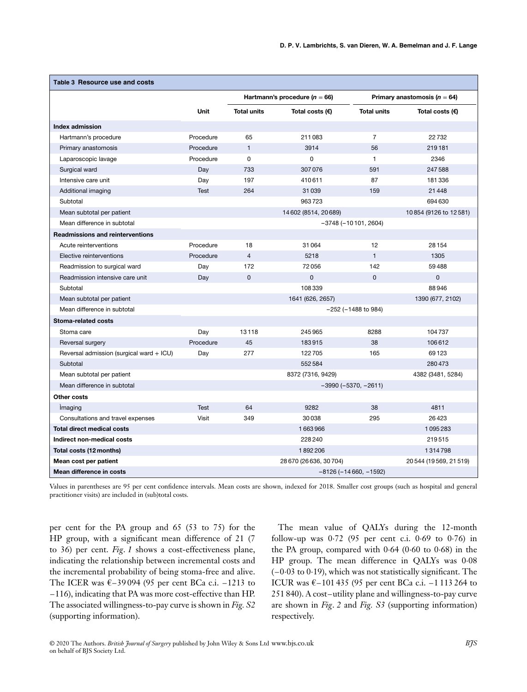| Table 3 Resource use and costs           |             |                                                 |                          |                                  |                       |
|------------------------------------------|-------------|-------------------------------------------------|--------------------------|----------------------------------|-----------------------|
|                                          |             | Hartmann's procedure ( $n = 66$ )               |                          | Primary anastomosis ( $n = 64$ ) |                       |
|                                          | <b>Unit</b> | <b>Total units</b>                              | Total costs $(\epsilon)$ | <b>Total units</b>               | Total costs (€)       |
| <b>Index admission</b>                   |             |                                                 |                          |                                  |                       |
| Hartmann's procedure                     | Procedure   | 65                                              | 211083                   | $\overline{7}$                   | 22732                 |
| Primary anastomosis                      | Procedure   | $\mathbf{1}$                                    | 3914                     | 56                               | 219181                |
| Laparoscopic lavage                      | Procedure   | $\Omega$                                        | $\Omega$                 | $\mathbf{1}$                     | 2346                  |
| Surgical ward                            | Day         | 733                                             | 307076                   | 591                              | 247588                |
| Intensive care unit                      | Day         | 197                                             | 410611                   | 87                               | 181336                |
| Additional imaging                       | <b>Test</b> | 264                                             | 31039                    | 159                              | 21448                 |
| Subtotal                                 |             |                                                 | 963723                   |                                  | 694 630               |
| Mean subtotal per patient                |             |                                                 | 14 602 (8514, 20 689)    |                                  | 10854 (9126 to 12581) |
| Mean difference in subtotal              |             | $-3748 (-10101, 2604)$                          |                          |                                  |                       |
| <b>Readmissions and reinterventions</b>  |             |                                                 |                          |                                  |                       |
| Acute reinterventions                    | Procedure   | 18                                              | 31064                    | 12                               | 28 154                |
| Elective reinterventions                 | Procedure   | $\overline{4}$                                  | 5218                     | $\mathbf{1}$                     | 1305                  |
| Readmission to surgical ward             | Day         | 172                                             | 72056                    | 142                              | 59488                 |
| Readmission intensive care unit          | Day         | $\mathbf 0$                                     | $\mathbf 0$              | $\mathbf{0}$                     | 0                     |
| Subtotal                                 |             |                                                 | 108339                   |                                  | 88946                 |
| Mean subtotal per patient                |             |                                                 | 1641 (626, 2657)         |                                  | 1390 (677, 2102)      |
| Mean difference in subtotal              |             |                                                 |                          | $-252$ ( $-1488$ to 984)         |                       |
| Stoma-related costs                      |             |                                                 |                          |                                  |                       |
| Stoma care                               | Day         | 13118                                           | 245965                   | 8288                             | 104737                |
| Reversal surgery                         | Procedure   | 45                                              | 183915                   | 38                               | 106612                |
| Reversal admission (surgical ward + ICU) | Day         | 277                                             | 122705                   | 165                              | 69123                 |
| Subtotal                                 |             |                                                 | 552584                   |                                  | 280473                |
| Mean subtotal per patient                |             |                                                 | 8372 (7316, 9429)        |                                  | 4382 (3481, 5284)     |
| Mean difference in subtotal              |             | $-3990 (-5370, -2611)$                          |                          |                                  |                       |
| Other costs                              |             |                                                 |                          |                                  |                       |
| Imaging                                  | <b>Test</b> | 64                                              | 9282                     | 38                               | 4811                  |
| Consultations and travel expenses        | Visit       | 349                                             | 30038                    | 295                              | 26423                 |
| <b>Total direct medical costs</b>        |             |                                                 | 1663966                  |                                  | 1095283               |
| Indirect non-medical costs               |             |                                                 | 228240                   |                                  | 219515                |
| Total costs (12 months)                  |             |                                                 | 1892206                  |                                  | 1314798               |
| Mean cost per patient                    |             | 28 670 (26 636, 30 704)<br>20544 (19569, 21519) |                          |                                  |                       |
| Mean difference in costs                 |             | $-8126(-14660, -1592)$                          |                          |                                  |                       |

Values in parentheses are 95 per cent confidence intervals. Mean costs are shown, indexed for 2018. Smaller cost groups (such as hospital and general practitioner visits) are included in (sub)total costs.

per cent for the PA group and 65 (53 to 75) for the HP group, with a significant mean difference of 21 (7 to 36) per cent. *Fig*. *1* shows a cost-effectiveness plane, indicating the relationship between incremental costs and the incremental probability of being stoma-free and alive. The ICER was €–39094 (95 per cent BCa c.i. –1213 to –116), indicating that PA was more cost-effective than HP. The associated willingness-to-pay curve is shown in *Fig. S2* (supporting information).

The mean value of QALYs during the 12-month follow-up was 0⋅72 (95 per cent c.i. 0⋅69 to 0⋅76) in the PA group, compared with 0⋅64 (0⋅60 to 0⋅68) in the HP group. The mean difference in QALYs was 0⋅08 (–0⋅03 to 0⋅19), which was not statistically significant. The ICUR was €–101 435 (95 per cent BCa c.i. –1 113 264 to 251 840). A cost–utility plane and willingness-to-pay curve are shown in *Fig*. *2* and *Fig. S3* (supporting information) respectively.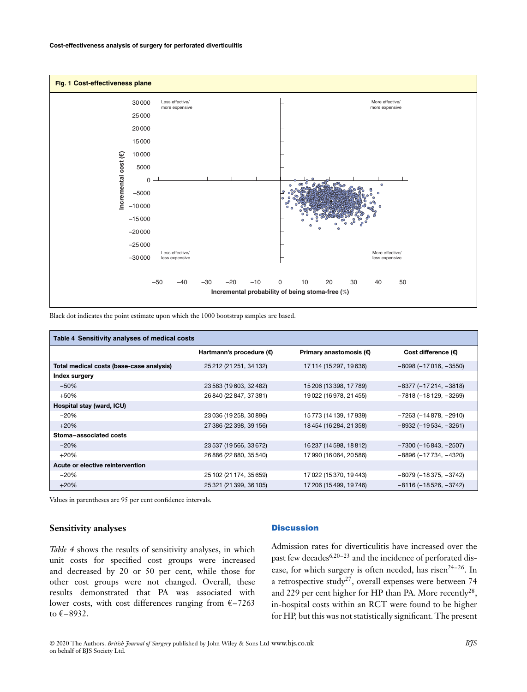

Black dot indicates the point estimate upon which the 1000 bootstrap samples are based.

| Table 4 Sensitivity analyses of medical costs |                          |                                  |                         |  |  |  |
|-----------------------------------------------|--------------------------|----------------------------------|-------------------------|--|--|--|
|                                               | Hartmann's procedure (€) | Primary anastomosis $(\epsilon)$ | Cost difference (€)     |  |  |  |
| Total medical costs (base-case analysis)      | 25 212 (21 251, 34 132)  | 17 114 (15 297, 19 636)          | $-8098(-17016, -3550)$  |  |  |  |
| Index surgery                                 |                          |                                  |                         |  |  |  |
| $-50%$                                        | 23 583 (19 603, 32 482)  | 15 206 (13 398, 17 789)          | $-8377 (-17214, -3818)$ |  |  |  |
| $+50%$                                        | 26 840 (22 847, 37 381)  | 19022 (16978, 21455)             | $-7818(-18129, -3269)$  |  |  |  |
| Hospital stay (ward, ICU)                     |                          |                                  |                         |  |  |  |
| $-20%$                                        | 23 036 (19 258, 30 896)  | 15 773 (14 139, 17 939)          | $-7263 (-14878, -2910)$ |  |  |  |
| $+20%$                                        | 27 386 (22 398, 39 156)  | 18454 (16284, 21358)             | $-8932 (-19534, -3261)$ |  |  |  |
| Stoma-associated costs                        |                          |                                  |                         |  |  |  |
| $-20%$                                        | 23 537 (19 566, 33 672)  | 16237 (14598, 18812)             | $-7300 (-16843, -2507)$ |  |  |  |
| $+20%$                                        | 26 886 (22 880, 35 540)  | 17990 (16064, 20586)             | $-8896 (-17734, -4320)$ |  |  |  |
| Acute or elective reintervention              |                          |                                  |                         |  |  |  |
| $-20%$                                        | 25 102 (21 174, 35 659)  | 17022 (15370, 19443)             | $-8079(-18375, -3742)$  |  |  |  |
| $+20%$                                        | 25 321 (21 399, 36 105)  | 17 206 (15 499, 19 746)          | $-8116(-18526, -3742)$  |  |  |  |

Values in parentheses are 95 per cent confidence intervals.

## **Sensitivity analyses**

# *Table 4* shows the results of sensitivity analyses, in which unit costs for specified cost groups were increased and decreased by 20 or 50 per cent, while those for other cost groups were not changed. Overall, these results demonstrated that PA was associated with lower costs, with cost differences ranging from  $\epsilon$ -7263 to €–8932.

## **Discussion**

Admission rates for diverticulitis have increased over the past few decades $6,20-23$  and the incidence of perforated disease, for which surgery is often needed, has risen<sup>24-26</sup>. In a retrospective study<sup>27</sup>, overall expenses were between 74 and 229 per cent higher for HP than PA. More recently<sup>28</sup>, in-hospital costs within an RCT were found to be higher for HP, but this was not statistically significant. The present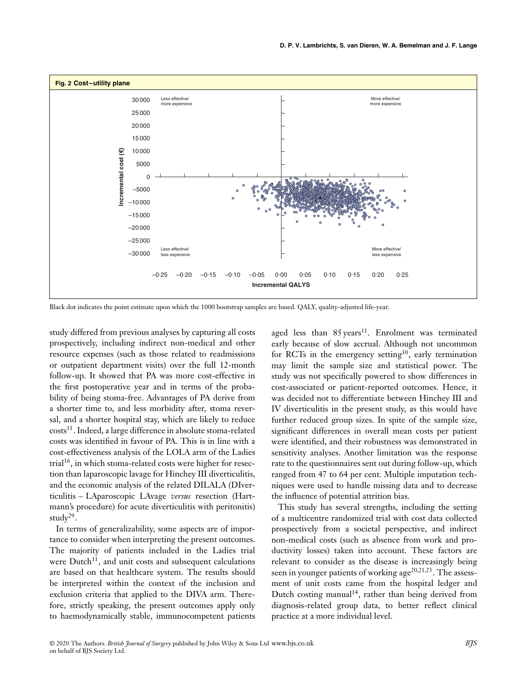

Black dot indicates the point estimate upon which the 1000 bootstrap samples are based. QALY, quality-adjusted life-year.

study differed from previous analyses by capturing all costs prospectively, including indirect non-medical and other resource expenses (such as those related to readmissions or outpatient department visits) over the full 12-month follow-up. It showed that PA was more cost-effective in the first postoperative year and in terms of the probability of being stoma-free. Advantages of PA derive from a shorter time to, and less morbidity after, stoma reversal, and a shorter hospital stay, which are likely to reduce costs<sup>11</sup>. Indeed, a large difference in absolute stoma-related costs was identified in favour of PA. This is in line with a cost-effectiveness analysis of the LOLA arm of the Ladies trial<sup>16</sup>, in which stoma-related costs were higher for resection than laparoscopic lavage for Hinchey III diverticulitis, and the economic analysis of the related DILALA (DIverticulitis – LAparoscopic LAvage *versus* resection (Hartmann's procedure) for acute diverticulitis with peritonitis) stud $v^{29}$ .

In terms of generalizability, some aspects are of importance to consider when interpreting the present outcomes. The majority of patients included in the Ladies trial were Dutch<sup>11</sup>, and unit costs and subsequent calculations are based on that healthcare system. The results should be interpreted within the context of the inclusion and exclusion criteria that applied to the DIVA arm. Therefore, strictly speaking, the present outcomes apply only to haemodynamically stable, immunocompetent patients

aged less than  $85 \text{ years}^{11}$ . Enrolment was terminated early because of slow accrual. Although not uncommon for RCTs in the emergency setting<sup>30</sup>, early termination may limit the sample size and statistical power. The study was not specifically powered to show differences in cost-associated or patient-reported outcomes. Hence, it was decided not to differentiate between Hinchey III and IV diverticulitis in the present study, as this would have further reduced group sizes. In spite of the sample size, significant differences in overall mean costs per patient were identified, and their robustness was demonstrated in sensitivity analyses. Another limitation was the response rate to the questionnaires sent out during follow-up, which ranged from 47 to 64 per cent. Multiple imputation techniques were used to handle missing data and to decrease the influence of potential attrition bias.

This study has several strengths, including the setting of a multicentre randomized trial with cost data collected prospectively from a societal perspective, and indirect non-medical costs (such as absence from work and productivity losses) taken into account. These factors are relevant to consider as the disease is increasingly being seen in younger patients of working  $age^{20,21,23}$ . The assessment of unit costs came from the hospital ledger and Dutch costing manual<sup>14</sup>, rather than being derived from diagnosis-related group data, to better reflect clinical practice at a more individual level.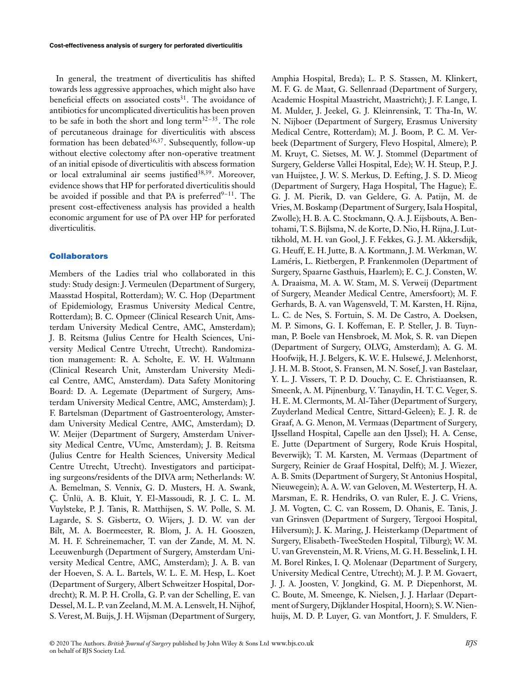In general, the treatment of diverticulitis has shifted towards less aggressive approaches, which might also have beneficial effects on associated costs<sup>31</sup>. The avoidance of antibiotics for uncomplicated diverticulitis has been proven to be safe in both the short and long term<sup>32–35</sup>. The role of percutaneous drainage for diverticulitis with abscess formation has been debated $36,37$ . Subsequently, follow-up without elective colectomy after non-operative treatment of an initial episode of diverticulitis with abscess formation or local extraluminal air seems justified<sup>38,39</sup>. Moreover, evidence shows that HP for perforated diverticulitis should be avoided if possible and that PA is preferred $9-11$ . The present cost-effectiveness analysis has provided a health economic argument for use of PA over HP for perforated diverticulitis.

#### **Collaborators**

Members of the Ladies trial who collaborated in this study: Study design: J. Vermeulen (Department of Surgery, Maasstad Hospital, Rotterdam); W. C. Hop (Department of Epidemiology, Erasmus University Medical Centre, Rotterdam); B. C. Opmeer (Clinical Research Unit, Amsterdam University Medical Centre, AMC, Amsterdam); J. B. Reitsma (Julius Centre for Health Sciences, University Medical Centre Utrecht, Utrecht). Randomization management: R. A. Scholte, E. W. H. Waltmann (Clinical Research Unit, Amsterdam University Medical Centre, AMC, Amsterdam). Data Safety Monitoring Board: D. A. Legemate (Department of Surgery, Amsterdam University Medical Centre, AMC, Amsterdam); J. F. Bartelsman (Department of Gastroenterology, Amsterdam University Medical Centre, AMC, Amsterdam); D. W. Meijer (Department of Surgery, Amsterdam University Medical Centre, VUmc, Amsterdam); J. B. Reitsma (Julius Centre for Health Sciences, University Medical Centre Utrecht, Utrecht). Investigators and participating surgeons/residents of the DIVA arm; Netherlands: W. A. Bemelman, S. Vennix, G. D. Musters, H. A. Swank, Ç. Ünlü, A. B. Kluit, Y. El-Massoudi, R. J. C. L. M. Vuylsteke, P. J. Tanis, R. Matthijsen, S. W. Polle, S. M. Lagarde, S. S. Gisbertz, O. Wijers, J. D. W. van der Bilt, M. A. Boermeester, R. Blom, J. A. H. Gooszen, M. H. F. Schreinemacher, T. van der Zande, M. M. N. Leeuwenburgh (Department of Surgery, Amsterdam University Medical Centre, AMC, Amsterdam); J. A. B. van der Hoeven, S. A. L. Bartels, W. L. E. M. Hesp, L. Koet (Department of Surgery, Albert Schweitzer Hospital, Dordrecht); R. M. P. H. Crolla, G. P. van der Schelling, E. van Dessel, M. L. P. van Zeeland, M. M. A. Lensvelt, H. Nijhof, S. Verest, M. Buijs, J. H. Wijsman (Department of Surgery,

Amphia Hospital, Breda); L. P. S. Stassen, M. Klinkert, M. F. G. de Maat, G. Sellenraad (Department of Surgery, Academic Hospital Maastricht, Maastricht); J. F. Lange, I. M. Mulder, J. Jeekel, G. J. Kleinrensink, T. Tha-In, W. N. Nijboer (Department of Surgery, Erasmus University Medical Centre, Rotterdam); M. J. Boom, P. C. M. Verbeek (Department of Surgery, Flevo Hospital, Almere); P. M. Kruyt, C. Sietses, M. W. J. Stommel (Department of Surgery, Gelderse Vallei Hospital, Ede); W. H. Steup, P. J. van Huijstee, J. W. S. Merkus, D. Eefting, J. S. D. Mieog (Department of Surgery, Haga Hospital, The Hague); E. G. J. M. Pierik, D. van Geldere, G. A. Patijn, M. de Vries, M. Boskamp (Department of Surgery, Isala Hospital, Zwolle); H. B. A. C. Stockmann, Q. A. J. Eijsbouts, A. Bentohami, T. S. Bijlsma, N. de Korte, D. Nio, H. Rijna, J. Luttikhold, M. H. van Gool, J. F. Fekkes, G. J. M. Akkersdijk, G. Heuff, E. H. Jutte, B. A. Kortmann, J. M. Werkman, W. Laméris, L. Rietbergen, P. Frankenmolen (Department of Surgery, Spaarne Gasthuis, Haarlem); E. C. J. Consten, W. A. Draaisma, M. A. W. Stam, M. S. Verweij (Department of Surgery, Meander Medical Centre, Amersfoort); M. F. Gerhards, B. A. van Wagensveld, T. M. Karsten, H. Rijna, L. C. de Nes, S. Fortuin, S. M. De Castro, A. Doeksen, M. P. Simons, G. I. Koffeman, E. P. Steller, J. B. Tuynman, P. Boele van Hensbroek, M. Mok, S. R. van Diepen (Department of Surgery, OLVG, Amsterdam); A. G. M. Hoofwijk, H. J. Belgers, K. W. E. Hulsewé, J. Melenhorst, J. H. M. B. Stoot, S. Fransen, M. N. Sosef, J. van Bastelaar, Y. L. J. Vissers, T. P. D. Douchy, C. E. Christiaansen, R. Smeenk, A. M. Pijnenburg, V. Tanaydin, H. T. C. Veger, S. H. E. M. Clermonts, M. Al-Taher (Department of Surgery, Zuyderland Medical Centre, Sittard-Geleen); E. J. R. de Graaf, A. G. Menon, M. Vermaas (Department of Surgery, IJsselland Hospital, Capelle aan den IJssel); H. A. Cense, E. Jutte (Department of Surgery, Rode Kruis Hospital, Beverwijk); T. M. Karsten, M. Vermaas (Department of Surgery, Reinier de Graaf Hospital, Delft); M. J. Wiezer, A. B. Smits (Department of Surgery, St Antonius Hospital, Nieuwegein); A. A. W. van Geloven, M. Westerterp, H. A. Marsman, E. R. Hendriks, O. van Ruler, E. J. C. Vriens, J. M. Vogten, C. C. van Rossem, D. Ohanis, E. Tanis, J. van Grinsven (Department of Surgery, Tergooi Hospital, Hilversum); J. K. Maring, J. Heisterkamp (Department of Surgery, Elisabeth-TweeSteden Hospital, Tilburg); W. M. U. van Grevenstein, M. R. Vriens, M. G. H. Besselink, I. H. M. Borel Rinkes, I. Q. Molenaar (Department of Surgery, University Medical Centre, Utrecht); M. J. P. M. Govaert, J. J. A. Joosten, V. Jongkind, G. M. P. Diepenhorst, M. C. Boute, M. Smeenge, K. Nielsen, J. J. Harlaar (Department of Surgery, Dijklander Hospital, Hoorn); S. W. Nienhuijs, M. D. P. Luyer, G. van Montfort, J. F. Smulders, F.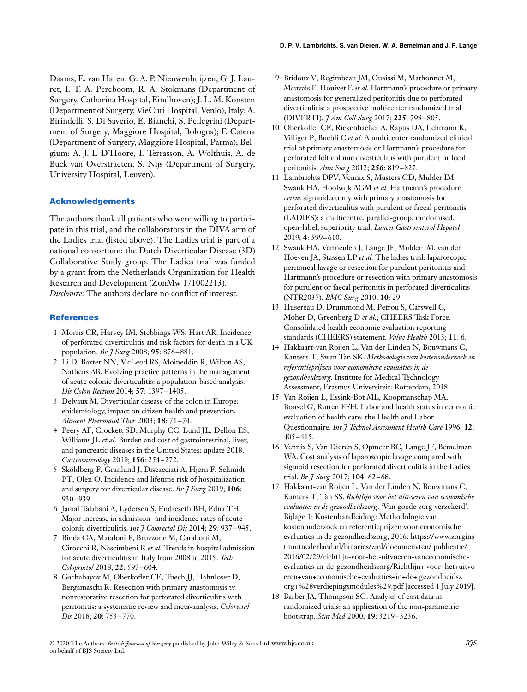Daams, E. van Haren, G. A. P. Nieuwenhuijzen, G. J. Lauret, I. T. A. Pereboom, R. A. Stokmans (Department of Surgery, Catharina Hospital, Eindhoven); J. L. M. Konsten (Department of Surgery, VieCuri Hospital, Venlo); Italy: A. Birindelli, S. Di Saverio, E. Bianchi, S. Pellegrini (Department of Surgery, Maggiore Hospital, Bologna); F. Catena (Department of Surgery, Maggiore Hospital, Parma); Belgium: A. J. L D'Hoore, I. Terrasson, A. Wolthuis, A. de Buck van Overstraeten, S. Nijs (Department of Surgery, University Hospital, Leuven).

# **Acknowledgements**

The authors thank all patients who were willing to participate in this trial, and the collaborators in the DIVA arm of the Ladies trial (listed above). The Ladies trial is part of a national consortium: the Dutch Diverticular Disease (3D) Collaborative Study group. The Ladies trial was funded by a grant from the Netherlands Organization for Health Research and Development (ZonMw 171002213). *Disclosure:* The authors declare no conflict of interest.

#### **References**

- 1 Morris CR, Harvey IM, Stebbings WS, Hart AR. Incidence of perforated diverticulitis and risk factors for death in a UK population. *Br J Surg* 2008; **95**: 876–881.
- 2 Li D, Baxter NN, McLeod RS, Moineddin R, Wilton AS, Nathens AB. Evolving practice patterns in the management of acute colonic diverticulitis: a population-based analysis. *Dis Colon Rectum* 2014; **57**: 1397–1405.
- 3 Delvaux M. Diverticular disease of the colon in Europe: epidemiology, impact on citizen health and prevention. *Aliment Pharmacol Ther* 2003; **18**: 71–74.
- 4 Peery AF, Crockett SD, Murphy CC, Lund JL, Dellon ES, Williams JL *et al.* Burden and cost of gastrointestinal, liver, and pancreatic diseases in the United States: update 2018. *Gastroenterology* 2018; **156**: 254–272.
- 5 Sköldberg F, Granlund J, Discacciati A, Hjern F, Schmidt PT, Olén O. Incidence and lifetime risk of hospitalization and surgery for diverticular disease. *Br J Surg* 2019; **106**: 930–939.
- 6 Jamal Talabani A, Lydersen S, Endreseth BH, Edna TH. Major increase in admission- and incidence rates of acute colonic diverticulitis. *Int J Colorectal Dis* 2014; **29**: 937–945.
- 7 Binda GA, Mataloni F, Bruzzone M, Carabotti M, Cirocchi R, Nascimbeni R *et al.* Trends in hospital admission for acute diverticulitis in Italy from 2008 to 2015. *Tech Coloproctol* 2018; **22**: 597–604.
- 8 Gachabayov M, Oberkofler CE, Tuech JJ, Hahnloser D, Bergamaschi R. Resection with primary anastomosis *vs* nonrestorative resection for perforated diverticulitis with peritonitis: a systematic review and meta-analysis. *Colorectal Dis* 2018; **20**: 753–770.
- 9 Bridoux V, Regimbeau JM, Ouaissi M, Mathonnet M, Mauvais F, Houivet E *et al.* Hartmann's procedure or primary anastomosis for generalized peritonitis due to perforated diverticulitis: a prospective multicenter randomized trial (DIVERTI). *J Am Coll Surg* 2017; **225**: 798–805.
- 10 Oberkofler CE, Rickenbacher A, Raptis DA, Lehmann K, Villiger P, Buchli C *et al.* A multicenter randomized clinical trial of primary anastomosis or Hartmann's procedure for perforated left colonic diverticulitis with purulent or fecal peritonitis. *Ann Surg* 2012; **256**: 819–827.
- 11 Lambrichts DPV, Vennix S, Musters GD, Mulder IM, Swank HA, Hoofwijk AGM *et al.* Hartmann's procedure *versus* sigmoidectomy with primary anastomosis for perforated diverticulitis with purulent or faecal peritonitis (LADIES): a multicentre, parallel-group, randomised, open-label, superiority trial. *Lancet Gastroenterol Hepatol* 2019; **4**: 599–610.
- 12 Swank HA, Vermeulen J, Lange JF, Mulder IM, van der Hoeven JA, Stassen LP *et al.* The ladies trial: laparoscopic peritoneal lavage or resection for purulent peritonitis and Hartmann's procedure or resection with primary anastomosis for purulent or faecal peritonitis in perforated diverticulitis (NTR2037). *BMC Surg* 2010; **10**: 29.
- 13 Husereau D, Drummond M, Petrou S, Carswell C, Moher D, Greenberg D *et al.*; CHEERS Task Force. Consolidated health economic evaluation reporting standards (CHEERS) statement. *Value Health* 2013; **11**: 6.
- 14 Hakkaart-van Roijen L, Van der Linden N, Bouwmans C, Kanters T, Swan Tan SK. *Methodologie van kostenonderzoek en referentieprijzen voor economische evaluaties in de gezondheidszorg.* Institute for Medical Technology Assessment, Erasmus Universiteit: Rotterdam, 2018.
- 15 Van Roijen L, Essink-Bot ML, Koopmanschap MA, Bonsel G, Rutten FFH. Labor and health status in economic evaluation of health care: the Health and Labor Questionnaire. *Int J Technol Assessment Health Care* 1996; **12**: 405–415.
- 16 Vennix S, Van Dieren S, Opmeer BC, Lange JF, Bemelman WA. Cost analysis of laparoscopic lavage compared with sigmoid resection for perforated diverticulitis in the Ladies trial. *Br J Surg* 2017; **104**: 62–68.
- 17 Hakkaart-van Roijen L, Van der Linden N, Bouwmans C, Kanters T, Tan SS. *Richtlijn voor het uitvoeren van economische evaluaties in de gezondheidszorg*. 'Van goede zorg verzekerd'. Bijlage 1: Kostenhandleiding: Methodologie van kostenonderzoek en referentieprijzen voor economische evaluaties in de gezondheidszorg, 2016. https://www.zorgins tituutnederland.nl/binaries/zinl/documenvten/ publicatie/ 2016/02/29/richtlijn-voor-het-uitvoeren-vaneconomischeevaluaties-in-de-gezondheidszorg/Richtlijn+ voor+het+uitvo eren+van+economische+evaluaties+in+de+ gezondheidsz org+%28verdiepingsmodules%29.pdf [accessed 1 July 2019].
- 18 Barber JA, Thompson SG. Analysis of cost data in randomized trials: an application of the non-parametric bootstrap. *Stat Med* 2000; **19**: 3219–3236.